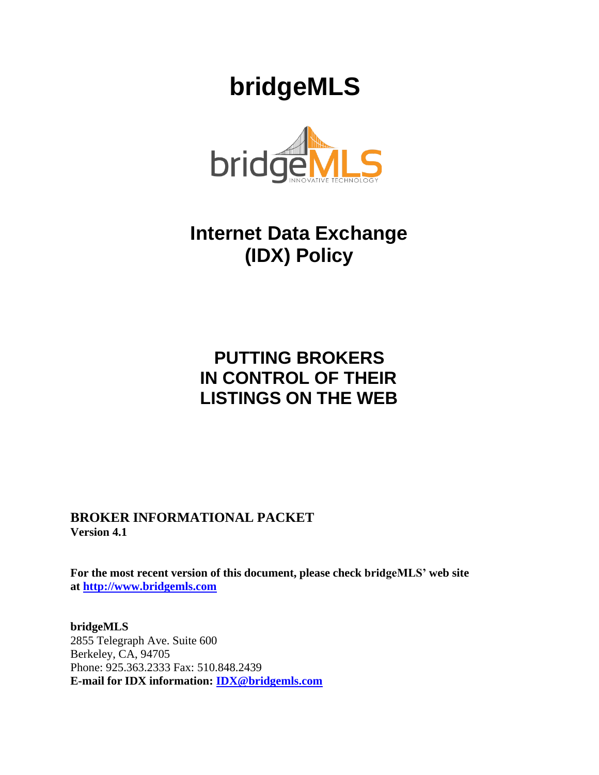# **bridgeMLS**



# **Internet Data Exchange (IDX) Policy**

# **PUTTING BROKERS IN CONTROL OF THEIR LISTINGS ON THE WEB**

**BROKER INFORMATIONAL PACKET Version 4.1**

**For the most recent version of this document, please check bridgeMLS' web site at [http://www.bridgemls.com](http://www.bridgemls.com/)**

**bridgeMLS** 2855 Telegraph Ave. Suite 600 Berkeley, CA, 94705 Phone: 925.363.2333 Fax: 510.848.2439 **E-mail for IDX information: [IDX@bridgemls.com](mailto:IDX@bridgemls.com)**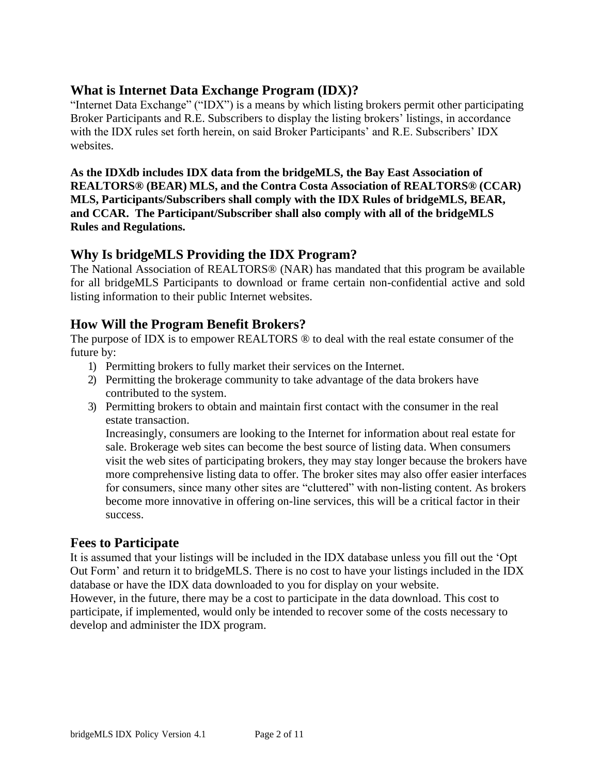#### **What is Internet Data Exchange Program (IDX)?**

"Internet Data Exchange" ("IDX") is a means by which listing brokers permit other participating Broker Participants and R.E. Subscribers to display the listing brokers' listings, in accordance with the IDX rules set forth herein, on said Broker Participants' and R.E. Subscribers' IDX websites.

**As the IDXdb includes IDX data from the bridgeMLS, the Bay East Association of REALTORS® (BEAR) MLS, and the Contra Costa Association of REALTORS® (CCAR) MLS, Participants/Subscribers shall comply with the IDX Rules of bridgeMLS, BEAR, and CCAR. The Participant/Subscriber shall also comply with all of the bridgeMLS Rules and Regulations.**

## **Why Is bridgeMLS Providing the IDX Program?**

The National Association of REALTORS® (NAR) has mandated that this program be available for all bridgeMLS Participants to download or frame certain non-confidential active and sold listing information to their public Internet websites.

## **How Will the Program Benefit Brokers?**

The purpose of IDX is to empower REALTORS ® to deal with the real estate consumer of the future by:

- 1) Permitting brokers to fully market their services on the Internet.
- 2) Permitting the brokerage community to take advantage of the data brokers have contributed to the system.
- 3) Permitting brokers to obtain and maintain first contact with the consumer in the real estate transaction.

Increasingly, consumers are looking to the Internet for information about real estate for sale. Brokerage web sites can become the best source of listing data. When consumers visit the web sites of participating brokers, they may stay longer because the brokers have more comprehensive listing data to offer. The broker sites may also offer easier interfaces for consumers, since many other sites are "cluttered" with non-listing content. As brokers become more innovative in offering on-line services, this will be a critical factor in their success.

## **Fees to Participate**

It is assumed that your listings will be included in the IDX database unless you fill out the 'Opt Out Form' and return it to bridgeMLS. There is no cost to have your listings included in the IDX database or have the IDX data downloaded to you for display on your website.

However, in the future, there may be a cost to participate in the data download. This cost to participate, if implemented, would only be intended to recover some of the costs necessary to develop and administer the IDX program.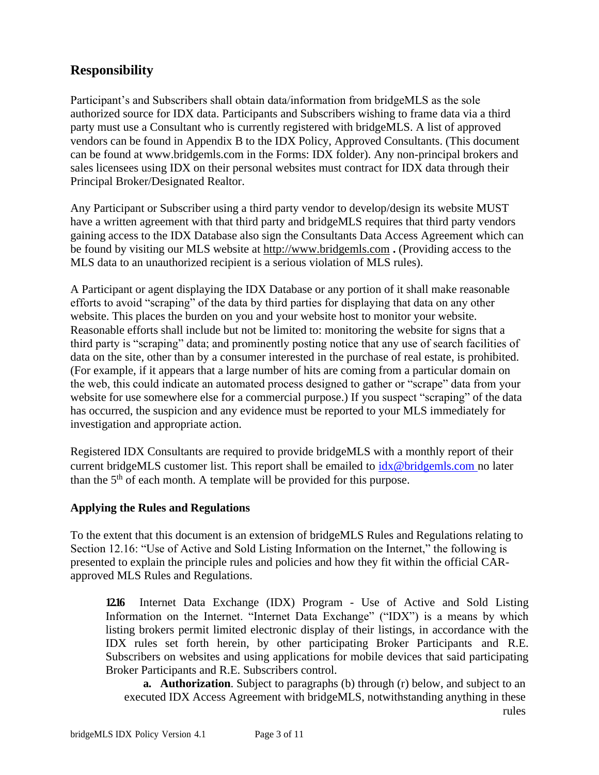## **Responsibility**

Participant's and Subscribers shall obtain data/information from bridgeMLS as the sole authorized source for IDX data. Participants and Subscribers wishing to frame data via a third party must use a Consultant who is currently registered with bridgeMLS. A list of approved vendors can be found in Appendix B to the IDX Policy, Approved Consultants. (This document can be found at [www.bridgemls.com i](http://www.bridgemls.com/)n the Forms: IDX folder). Any non-principal brokers and sales licensees using IDX on their personal websites must contract for IDX data through their Principal Broker/Designated Realtor.

Any Participant or Subscriber using a third party vendor to develop/design its website MUST have a written agreement with that third party and bridgeMLS requires that third party vendors gaining access to the IDX Database also sign the Consultants Data Access Agreement which can be found by visiting our MLS website at [http://www.bridgemls.com](http://www.ebrdi.com/) **.** (Providing access to the MLS data to an unauthorized recipient is a serious violation of MLS rules).

A Participant or agent displaying the IDX Database or any portion of it shall make reasonable efforts to avoid "scraping" of the data by third parties for displaying that data on any other website. This places the burden on you and your website host to monitor your website. Reasonable efforts shall include but not be limited to: monitoring the website for signs that a third party is "scraping" data; and prominently posting notice that any use of search facilities of data on the site, other than by a consumer interested in the purchase of real estate, is prohibited. (For example, if it appears that a large number of hits are coming from a particular domain on the web, this could indicate an automated process designed to gather or "scrape" data from your website for use somewhere else for a commercial purpose.) If you suspect "scraping" of the data has occurred, the suspicion and any evidence must be reported to your MLS immediately for investigation and appropriate action.

Registered IDX Consultants are required to provide bridgeMLS with a monthly report of their current bridgeMLS customer list. This report shall be emailed to  $i dx @bridgemls.com$  no later than the  $5<sup>th</sup>$  of each month. A template will be provided for this purpose.

#### **Applying the Rules and Regulations**

To the extent that this document is an extension of bridgeMLS Rules and Regulations relating to Section 12.16: "Use of Active and Sold Listing Information on the Internet," the following is presented to explain the principle rules and policies and how they fit within the official CARapproved MLS Rules and Regulations.

**12.16** Internet Data Exchange (IDX) Program - Use of Active and Sold Listing Information on the Internet. "Internet Data Exchange" ("IDX") is a means by which listing brokers permit limited electronic display of their listings, in accordance with the IDX rules set forth herein, by other participating Broker Participants and R.E. Subscribers on websites and using applications for mobile devices that said participating Broker Participants and R.E. Subscribers control.

**a. Authorization**. Subject to paragraphs (b) through (r) below, and subject to an executed IDX Access Agreement with bridgeMLS, notwithstanding anything in these rules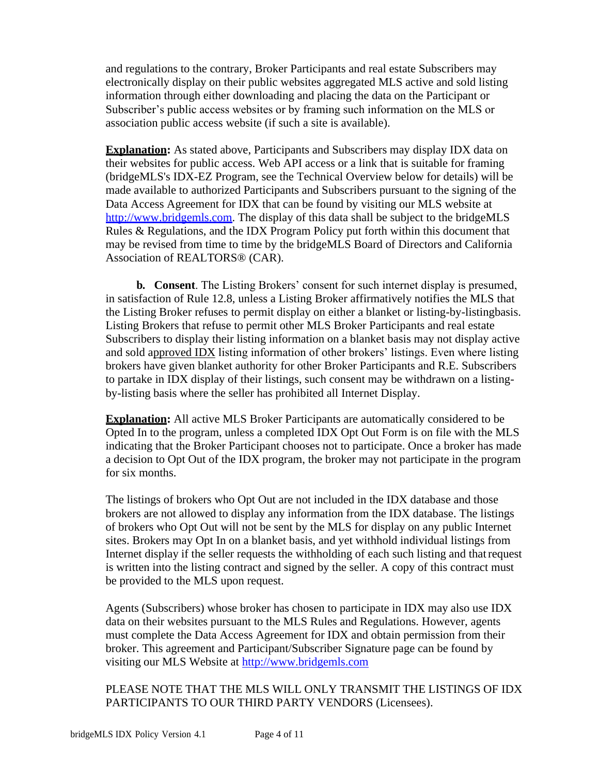and regulations to the contrary, Broker Participants and real estate Subscribers may electronically display on their public websites aggregated MLS active and sold listing information through either downloading and placing the data on the Participant or Subscriber's public access websites or by framing such information on the MLS or association public access website (if such a site is available).

**Explanation:** As stated above, Participants and Subscribers may display IDX data on their websites for public access. Web API access or a link that is suitable for framing (bridgeMLS's IDX-EZ Program, see the Technical Overview below for details) will be made available to authorized Participants and Subscribers pursuant to the signing of the Data Access Agreement for IDX that can be found by visiting our MLS website at [http://www.bridgemls.](http://www.bridgemls.com/)com. The display of this data shall be subject to the bridgeMLS Rules & Regulations, and the IDX Program Policy put forth within this document that may be revised from time to time by the bridgeMLS Board of Directors and California Association of REALTORS® (CAR).

**b. Consent**. The Listing Brokers' consent for such internet display is presumed, in satisfaction of Rule 12.8, unless a Listing Broker affirmatively notifies the MLS that the Listing Broker refuses to permit display on either a blanket or listing-by-listingbasis. Listing Brokers that refuse to permit other MLS Broker Participants and real estate Subscribers to display their listing information on a blanket basis may not display active and sold approved IDX listing information of other brokers' listings. Even where listing brokers have given blanket authority for other Broker Participants and R.E. Subscribers to partake in IDX display of their listings, such consent may be withdrawn on a listingby-listing basis where the seller has prohibited all Internet Display.

**Explanation:** All active MLS Broker Participants are automatically considered to be Opted In to the program, unless a completed IDX Opt Out Form is on file with the MLS indicating that the Broker Participant chooses not to participate. Once a broker has made a decision to Opt Out of the IDX program, the broker may not participate in the program for six months.

The listings of brokers who Opt Out are not included in the IDX database and those brokers are not allowed to display any information from the IDX database. The listings of brokers who Opt Out will not be sent by the MLS for display on any public Internet sites. Brokers may Opt In on a blanket basis, and yet withhold individual listings from Internet display if the seller requests the withholding of each such listing and thatrequest is written into the listing contract and signed by the seller. A copy of this contract must be provided to the MLS upon request.

Agents (Subscribers) whose broker has chosen to participate in IDX may also use IDX data on their websites pursuant to the MLS Rules and Regulations. However, agents must complete the Data Access Agreement for IDX and obtain permission from their broker. This agreement and Participant/Subscriber Signature page can be found by visiting our MLS Website at [http://www.bridgemls.com](http://www.bridgemls.com/)

PLEASE NOTE THAT THE MLS WILL ONLY TRANSMIT THE LISTINGS OF IDX PARTICIPANTS TO OUR THIRD PARTY VENDORS (Licensees).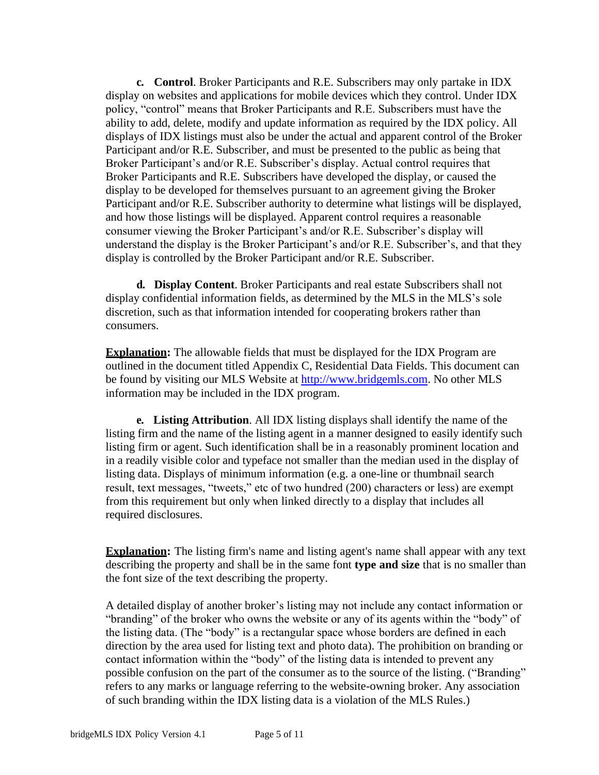**c. Control**. Broker Participants and R.E. Subscribers may only partake in IDX display on websites and applications for mobile devices which they control. Under IDX policy, "control" means that Broker Participants and R.E. Subscribers must have the ability to add, delete, modify and update information as required by the IDX policy. All displays of IDX listings must also be under the actual and apparent control of the Broker Participant and/or R.E. Subscriber, and must be presented to the public as being that Broker Participant's and/or R.E. Subscriber's display. Actual control requires that Broker Participants and R.E. Subscribers have developed the display, or caused the display to be developed for themselves pursuant to an agreement giving the Broker Participant and/or R.E. Subscriber authority to determine what listings will be displayed, and how those listings will be displayed. Apparent control requires a reasonable consumer viewing the Broker Participant's and/or R.E. Subscriber's display will understand the display is the Broker Participant's and/or R.E. Subscriber's, and that they display is controlled by the Broker Participant and/or R.E. Subscriber.

**d. Display Content**. Broker Participants and real estate Subscribers shall not display confidential information fields, as determined by the MLS in the MLS's sole discretion, such as that information intended for cooperating brokers rather than consumers.

**Explanation:** The allowable fields that must be displayed for the IDX Program are outlined in the document titled Appendix C, Residential Data Fields. This document can be found by visiting our MLS Website at [http://www.bridgemls.com.](http://www.bridgemls.com/) No other MLS information may be included in the IDX program.

**e. Listing Attribution**. All IDX listing displays shall identify the name of the listing firm and the name of the listing agent in a manner designed to easily identify such listing firm or agent. Such identification shall be in a reasonably prominent location and in a readily visible color and typeface not smaller than the median used in the display of listing data. Displays of minimum information (e.g. a one-line or thumbnail search result, text messages, "tweets," etc of two hundred (200) characters or less) are exempt from this requirement but only when linked directly to a display that includes all required disclosures.

**Explanation:** The listing firm's name and listing agent's name shall appear with any text describing the property and shall be in the same font **type and size** that is no smaller than the font size of the text describing the property.

A detailed display of another broker's listing may not include any contact information or "branding" of the broker who owns the website or any of its agents within the "body" of the listing data. (The "body" is a rectangular space whose borders are defined in each direction by the area used for listing text and photo data). The prohibition on branding or contact information within the "body" of the listing data is intended to prevent any possible confusion on the part of the consumer as to the source of the listing. ("Branding" refers to any marks or language referring to the website-owning broker. Any association of such branding within the IDX listing data is a violation of the MLS Rules.)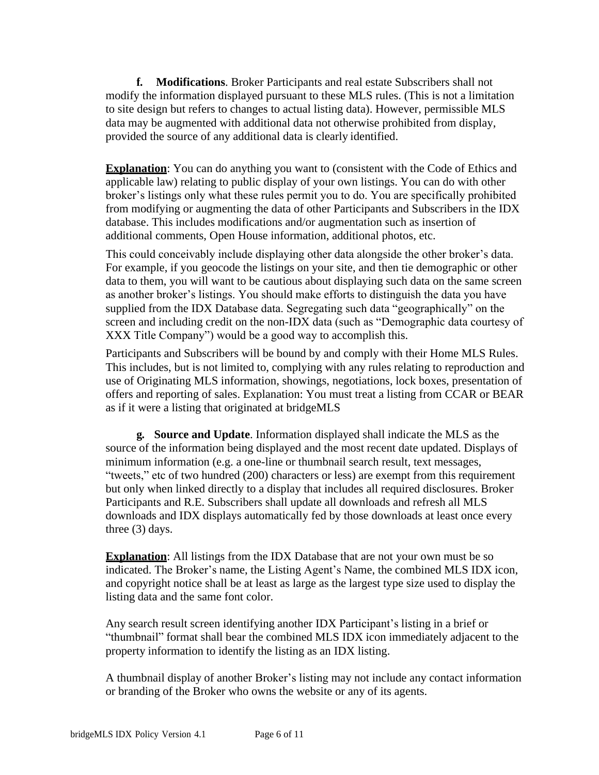**f. Modifications**. Broker Participants and real estate Subscribers shall not modify the information displayed pursuant to these MLS rules. (This is not a limitation to site design but refers to changes to actual listing data). However, permissible MLS data may be augmented with additional data not otherwise prohibited from display, provided the source of any additional data is clearly identified.

**Explanation**: You can do anything you want to (consistent with the Code of Ethics and applicable law) relating to public display of your own listings. You can do with other broker's listings only what these rules permit you to do. You are specifically prohibited from modifying or augmenting the data of other Participants and Subscribers in the IDX database. This includes modifications and/or augmentation such as insertion of additional comments, Open House information, additional photos, etc.

This could conceivably include displaying other data alongside the other broker's data. For example, if you geocode the listings on your site, and then tie demographic or other data to them, you will want to be cautious about displaying such data on the same screen as another broker's listings. You should make efforts to distinguish the data you have supplied from the IDX Database data. Segregating such data "geographically" on the screen and including credit on the non-IDX data (such as "Demographic data courtesy of XXX Title Company") would be a good way to accomplish this.

Participants and Subscribers will be bound by and comply with their Home MLS Rules. This includes, but is not limited to, complying with any rules relating to reproduction and use of Originating MLS information, showings, negotiations, lock boxes, presentation of offers and reporting of sales. Explanation: You must treat a listing from CCAR or BEAR as if it were a listing that originated at bridgeMLS

**g. Source and Update**. Information displayed shall indicate the MLS as the source of the information being displayed and the most recent date updated. Displays of minimum information (e.g. a one-line or thumbnail search result, text messages, "tweets," etc of two hundred (200) characters or less) are exempt from this requirement but only when linked directly to a display that includes all required disclosures. Broker Participants and R.E. Subscribers shall update all downloads and refresh all MLS downloads and IDX displays automatically fed by those downloads at least once every three (3) days.

**Explanation**: All listings from the IDX Database that are not your own must be so indicated. The Broker's name, the Listing Agent's Name, the combined MLS IDX icon, and copyright notice shall be at least as large as the largest type size used to display the listing data and the same font color.

Any search result screen identifying another IDX Participant's listing in a brief or "thumbnail" format shall bear the combined MLS IDX icon immediately adjacent to the property information to identify the listing as an IDX listing.

A thumbnail display of another Broker's listing may not include any contact information or branding of the Broker who owns the website or any of its agents.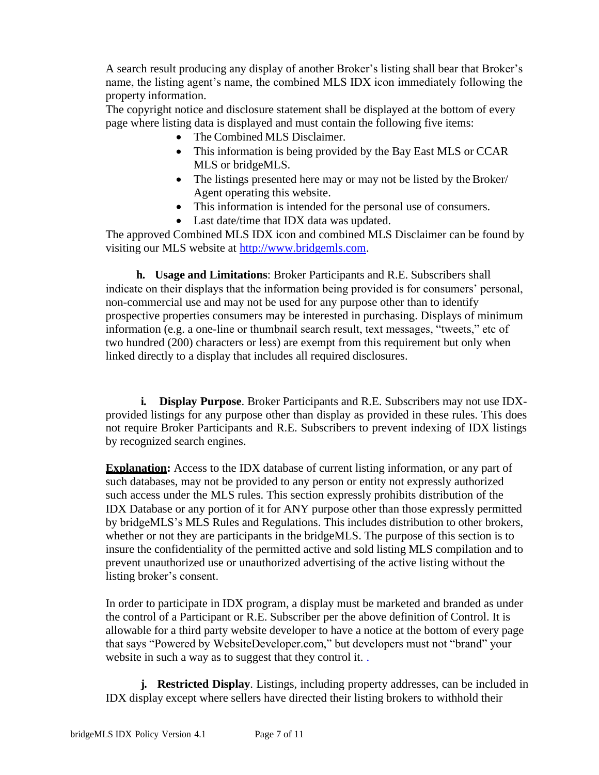A search result producing any display of another Broker's listing shall bear that Broker's name, the listing agent's name, the combined MLS IDX icon immediately following the property information.

The copyright notice and disclosure statement shall be displayed at the bottom of every page where listing data is displayed and must contain the following five items:

- The Combined MLS Disclaimer.
- This information is being provided by the Bay East MLS or CCAR MLS or bridgeMLS.
- The listings presented here may or may not be listed by the Broker/ Agent operating this website.
- This information is intended for the personal use of consumers.
- Last date/time that IDX data was updated.

The approved Combined MLS IDX icon and combined MLS Disclaimer can be found by visiting our MLS website at [http://www.bridgemls.com.](http://www.bridgemls.com/)

**h. Usage and Limitations**: Broker Participants and R.E. Subscribers shall indicate on their displays that the information being provided is for consumers' personal, non-commercial use and may not be used for any purpose other than to identify prospective properties consumers may be interested in purchasing. Displays of minimum information (e.g. a one-line or thumbnail search result, text messages, "tweets," etc of two hundred (200) characters or less) are exempt from this requirement but only when linked directly to a display that includes all required disclosures.

**i. Display Purpose**. Broker Participants and R.E. Subscribers may not use IDXprovided listings for any purpose other than display as provided in these rules. This does not require Broker Participants and R.E. Subscribers to prevent indexing of IDX listings by recognized search engines.

**Explanation:** Access to the IDX database of current listing information, or any part of such databases, may not be provided to any person or entity not expressly authorized such access under the MLS rules. This section expressly prohibits distribution of the IDX Database or any portion of it for ANY purpose other than those expressly permitted by bridgeMLS's MLS Rules and Regulations. This includes distribution to other brokers, whether or not they are participants in the bridgeMLS. The purpose of this section is to insure the confidentiality of the permitted active and sold listing MLS compilation and to prevent unauthorized use or unauthorized advertising of the active listing without the listing broker's consent.

In order to participate in IDX program, a display must be marketed and branded as under the control of a Participant or R.E. Subscriber per the above definition of Control. It is allowable for a third party website developer to have a notice at the bottom of every page that says "Powered by WebsiteDeveloper.com," but developers must not "brand" your website in such a way as to suggest that they control it..

**j. Restricted Display**. Listings, including property addresses, can be included in IDX display except where sellers have directed their listing brokers to withhold their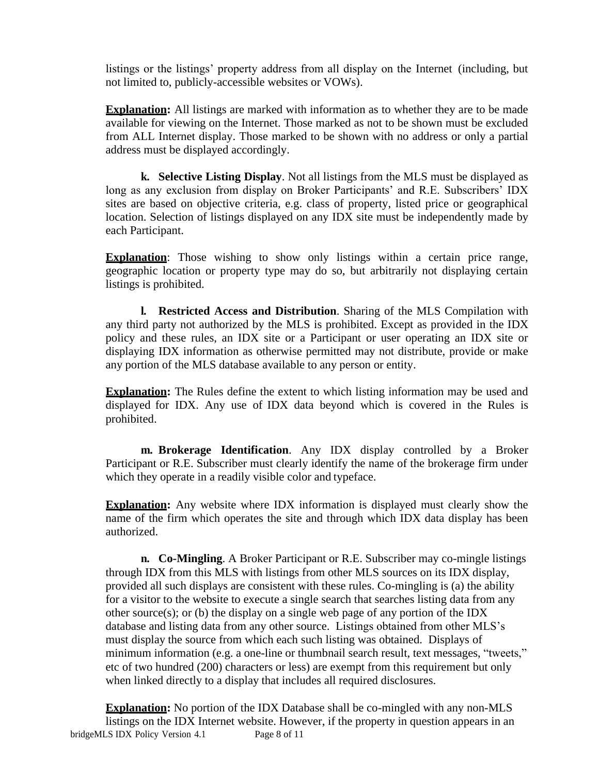listings or the listings' property address from all display on the Internet (including, but not limited to, publicly-accessible websites or VOWs).

**Explanation:** All listings are marked with information as to whether they are to be made available for viewing on the Internet. Those marked as not to be shown must be excluded from ALL Internet display. Those marked to be shown with no address or only a partial address must be displayed accordingly.

**k. Selective Listing Display**. Not all listings from the MLS must be displayed as long as any exclusion from display on Broker Participants' and R.E. Subscribers' IDX sites are based on objective criteria, e.g. class of property, listed price or geographical location. Selection of listings displayed on any IDX site must be independently made by each Participant.

**Explanation**: Those wishing to show only listings within a certain price range, geographic location or property type may do so, but arbitrarily not displaying certain listings is prohibited.

**l. Restricted Access and Distribution**. Sharing of the MLS Compilation with any third party not authorized by the MLS is prohibited. Except as provided in the IDX policy and these rules, an IDX site or a Participant or user operating an IDX site or displaying IDX information as otherwise permitted may not distribute, provide or make any portion of the MLS database available to any person or entity.

**Explanation:** The Rules define the extent to which listing information may be used and displayed for IDX. Any use of IDX data beyond which is covered in the Rules is prohibited.

**m. Brokerage Identification**. Any IDX display controlled by a Broker Participant or R.E. Subscriber must clearly identify the name of the brokerage firm under which they operate in a readily visible color and typeface.

**Explanation:** Any website where IDX information is displayed must clearly show the name of the firm which operates the site and through which IDX data display has been authorized.

**n. Co-Mingling**. A Broker Participant or R.E. Subscriber may co-mingle listings through IDX from this MLS with listings from other MLS sources on its IDX display, provided all such displays are consistent with these rules. Co-mingling is (a) the ability for a visitor to the website to execute a single search that searches listing data from any other source(s); or (b) the display on a single web page of any portion of the IDX database and listing data from any other source. Listings obtained from other MLS's must display the source from which each such listing was obtained. Displays of minimum information (e.g. a one-line or thumbnail search result, text messages, "tweets," etc of two hundred (200) characters or less) are exempt from this requirement but only when linked directly to a display that includes all required disclosures.

bridgeMLS IDX Policy Version 4.1 Page 8 of 11 **Explanation:** No portion of the IDX Database shall be co-mingled with any non-MLS listings on the IDX Internet website. However, if the property in question appears in an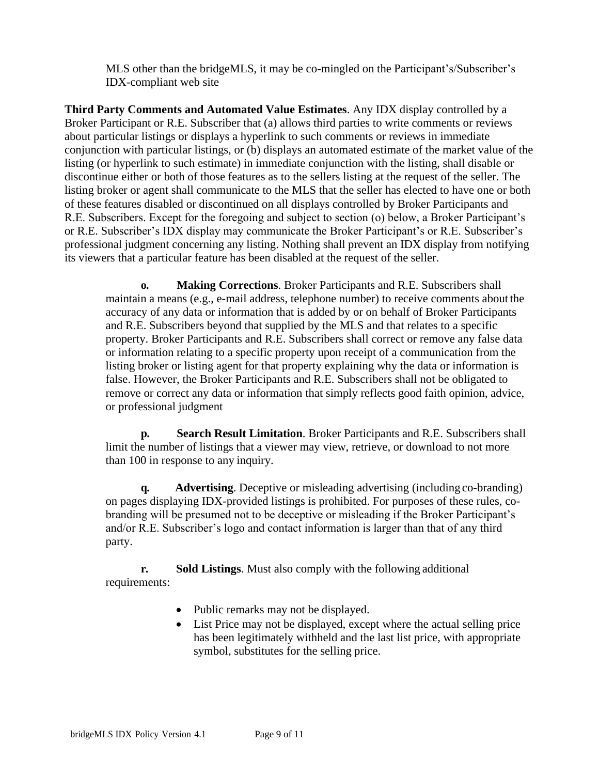MLS other than the bridgeMLS, it may be co-mingled on the Participant's/Subscriber's IDX-compliant web site

**Third Party Comments and Automated Value Estimates**. Any IDX display controlled by a Broker Participant or R.E. Subscriber that (a) allows third parties to write comments or reviews about particular listings or displays a hyperlink to such comments or reviews in immediate conjunction with particular listings, or (b) displays an automated estimate of the market value of the listing (or hyperlink to such estimate) in immediate conjunction with the listing, shall disable or discontinue either or both of those features as to the sellers listing at the request of the seller. The listing broker or agent shall communicate to the MLS that the seller has elected to have one or both of these features disabled or discontinued on all displays controlled by Broker Participants and R.E. Subscribers. Except for the foregoing and subject to section (o) below, a Broker Participant's or R.E. Subscriber's IDX display may communicate the Broker Participant's or R.E. Subscriber's professional judgment concerning any listing. Nothing shall prevent an IDX display from notifying its viewers that a particular feature has been disabled at the request of the seller.

**o. Making Corrections**. Broker Participants and R.E. Subscribers shall maintain a means (e.g., e-mail address, telephone number) to receive comments about the accuracy of any data or information that is added by or on behalf of Broker Participants and R.E. Subscribers beyond that supplied by the MLS and that relates to a specific property. Broker Participants and R.E. Subscribers shall correct or remove any false data or information relating to a specific property upon receipt of a communication from the listing broker or listing agent for that property explaining why the data or information is false. However, the Broker Participants and R.E. Subscribers shall not be obligated to remove or correct any data or information that simply reflects good faith opinion, advice, or professional judgment

**p. Search Result Limitation**. Broker Participants and R.E. Subscribers shall limit the number of listings that a viewer may view, retrieve, or download to not more than 100 in response to any inquiry.

**q. Advertising**. Deceptive or misleading advertising (including co-branding) on pages displaying IDX-provided listings is prohibited. For purposes of these rules, cobranding will be presumed not to be deceptive or misleading if the Broker Participant's and/or R.E. Subscriber's logo and contact information is larger than that of any third party.

**r. Sold Listings**. Must also comply with the following additional requirements:

- Public remarks may not be displayed.
- List Price may not be displayed, except where the actual selling price has been legitimately withheld and the last list price, with appropriate symbol, substitutes for the selling price.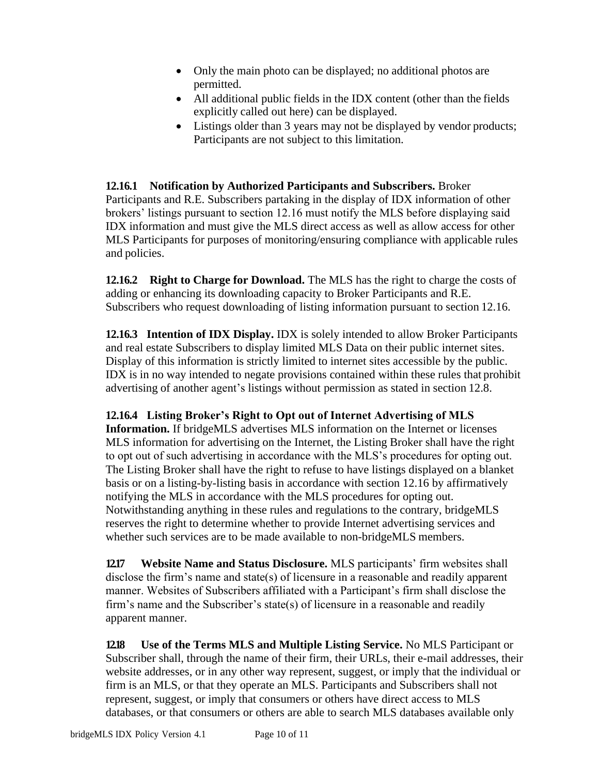- Only the main photo can be displayed; no additional photos are permitted.
- All additional public fields in the IDX content (other than the fields) explicitly called out here) can be displayed.
- Listings older than 3 years may not be displayed by vendor products; Participants are not subject to this limitation.

**12.16.1 Notification by Authorized Participants and Subscribers.** Broker Participants and R.E. Subscribers partaking in the display of IDX information of other brokers' listings pursuant to section 12.16 must notify the MLS before displaying said IDX information and must give the MLS direct access as well as allow access for other MLS Participants for purposes of monitoring/ensuring compliance with applicable rules and policies.

**12.16.2 Right to Charge for Download.** The MLS has the right to charge the costs of adding or enhancing its downloading capacity to Broker Participants and R.E. Subscribers who request downloading of listing information pursuant to section 12.16.

**12.16.3 Intention of IDX Display.** IDX is solely intended to allow Broker Participants and real estate Subscribers to display limited MLS Data on their public internet sites. Display of this information is strictly limited to internet sites accessible by the public. IDX is in no way intended to negate provisions contained within these rules that prohibit advertising of another agent's listings without permission as stated in section 12.8.

#### **12.16.4 Listing Broker's Right to Opt out of Internet Advertising of MLS**

**Information.** If bridgeMLS advertises MLS information on the Internet or licenses MLS information for advertising on the Internet, the Listing Broker shall have the right to opt out of such advertising in accordance with the MLS's procedures for opting out. The Listing Broker shall have the right to refuse to have listings displayed on a blanket basis or on a listing-by-listing basis in accordance with section 12.16 by affirmatively notifying the MLS in accordance with the MLS procedures for opting out. Notwithstanding anything in these rules and regulations to the contrary, bridgeMLS reserves the right to determine whether to provide Internet advertising services and whether such services are to be made available to non-bridgeMLS members.

**12.17 Website Name and Status Disclosure.** MLS participants' firm websites shall disclose the firm's name and state(s) of licensure in a reasonable and readily apparent manner. Websites of Subscribers affiliated with a Participant's firm shall disclose the firm's name and the Subscriber's state(s) of licensure in a reasonable and readily apparent manner.

**12.18 Use of the Terms MLS and Multiple Listing Service.** No MLS Participant or Subscriber shall, through the name of their firm, their URLs, their e-mail addresses, their website addresses, or in any other way represent, suggest, or imply that the individual or firm is an MLS, or that they operate an MLS. Participants and Subscribers shall not represent, suggest, or imply that consumers or others have direct access to MLS databases, or that consumers or others are able to search MLS databases available only